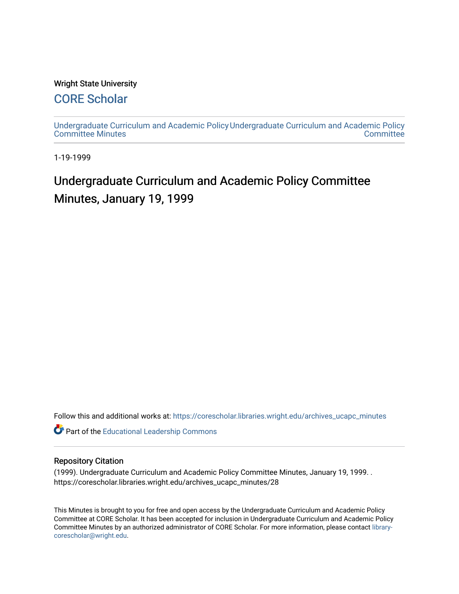### Wright State University

### [CORE Scholar](https://corescholar.libraries.wright.edu/)

[Undergraduate Curriculum and Academic Policy](https://corescholar.libraries.wright.edu/archives_ucapc_minutes) [Undergraduate Curriculum and Academic Policy](https://corescholar.libraries.wright.edu/archives_ucapc)  [Committee Minutes](https://corescholar.libraries.wright.edu/archives_ucapc_minutes) **Committee** 

1-19-1999

## Undergraduate Curriculum and Academic Policy Committee Minutes, January 19, 1999

Follow this and additional works at: [https://corescholar.libraries.wright.edu/archives\\_ucapc\\_minutes](https://corescholar.libraries.wright.edu/archives_ucapc_minutes?utm_source=corescholar.libraries.wright.edu%2Farchives_ucapc_minutes%2F28&utm_medium=PDF&utm_campaign=PDFCoverPages) 

Part of the [Educational Leadership Commons](http://network.bepress.com/hgg/discipline/1230?utm_source=corescholar.libraries.wright.edu%2Farchives_ucapc_minutes%2F28&utm_medium=PDF&utm_campaign=PDFCoverPages) 

#### Repository Citation

(1999). Undergraduate Curriculum and Academic Policy Committee Minutes, January 19, 1999. . https://corescholar.libraries.wright.edu/archives\_ucapc\_minutes/28

This Minutes is brought to you for free and open access by the Undergraduate Curriculum and Academic Policy Committee at CORE Scholar. It has been accepted for inclusion in Undergraduate Curriculum and Academic Policy Committee Minutes by an authorized administrator of CORE Scholar. For more information, please contact [library](mailto:library-corescholar@wright.edu)[corescholar@wright.edu](mailto:library-corescholar@wright.edu).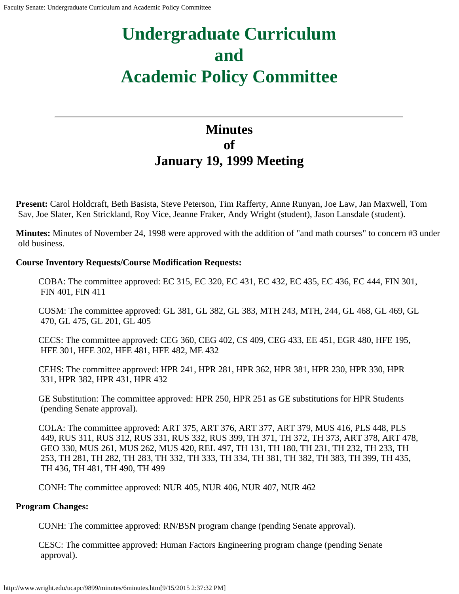# **Undergraduate Curriculum and Academic Policy Committee**

### **Minutes of January 19, 1999 Meeting**

**Present:** Carol Holdcraft, Beth Basista, Steve Peterson, Tim Rafferty, Anne Runyan, Joe Law, Jan Maxwell, Tom Sav, Joe Slater, Ken Strickland, Roy Vice, Jeanne Fraker, Andy Wright (student), Jason Lansdale (student).

**Minutes:** Minutes of November 24, 1998 were approved with the addition of "and math courses" to concern #3 under old business.

### **Course Inventory Requests/Course Modification Requests:**

COBA: The committee approved: EC 315, EC 320, EC 431, EC 432, EC 435, EC 436, EC 444, FIN 301, FIN 401, FIN 411

COSM: The committee approved: GL 381, GL 382, GL 383, MTH 243, MTH, 244, GL 468, GL 469, GL 470, GL 475, GL 201, GL 405

CECS: The committee approved: CEG 360, CEG 402, CS 409, CEG 433, EE 451, EGR 480, HFE 195, HFE 301, HFE 302, HFE 481, HFE 482, ME 432

CEHS: The committee approved: HPR 241, HPR 281, HPR 362, HPR 381, HPR 230, HPR 330, HPR 331, HPR 382, HPR 431, HPR 432

GE Substitution: The committee approved: HPR 250, HPR 251 as GE substitutions for HPR Students (pending Senate approval).

COLA: The committee approved: ART 375, ART 376, ART 377, ART 379, MUS 416, PLS 448, PLS 449, RUS 311, RUS 312, RUS 331, RUS 332, RUS 399, TH 371, TH 372, TH 373, ART 378, ART 478, GEO 330, MUS 261, MUS 262, MUS 420, REL 497, TH 131, TH 180, TH 231, TH 232, TH 233, TH 253, TH 281, TH 282, TH 283, TH 332, TH 333, TH 334, TH 381, TH 382, TH 383, TH 399, TH 435, TH 436, TH 481, TH 490, TH 499

CONH: The committee approved: NUR 405, NUR 406, NUR 407, NUR 462

### **Program Changes:**

CONH: The committee approved: RN/BSN program change (pending Senate approval).

CESC: The committee approved: Human Factors Engineering program change (pending Senate approval).